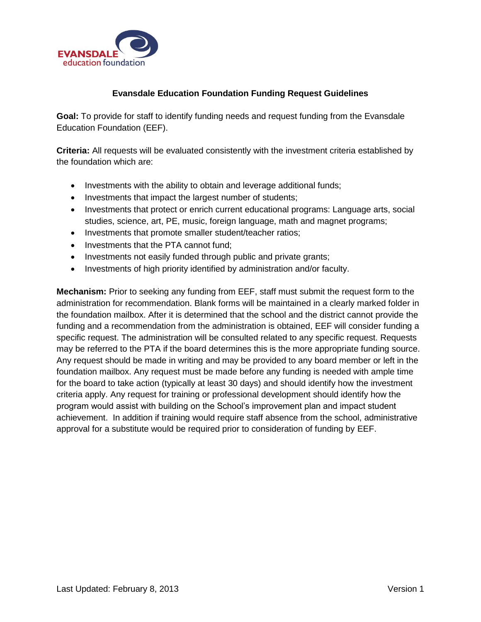

## **Evansdale Education Foundation Funding Request Guidelines**

**Goal:** To provide for staff to identify funding needs and request funding from the Evansdale Education Foundation (EEF).

**Criteria:** All requests will be evaluated consistently with the investment criteria established by the foundation which are:

- Investments with the ability to obtain and leverage additional funds;
- Investments that impact the largest number of students;
- Investments that protect or enrich current educational programs: Language arts, social studies, science, art, PE, music, foreign language, math and magnet programs;
- Investments that promote smaller student/teacher ratios;
- Investments that the PTA cannot fund;
- Investments not easily funded through public and private grants;
- Investments of high priority identified by administration and/or faculty.

**Mechanism:** Prior to seeking any funding from EEF, staff must submit the request form to the administration for recommendation. Blank forms will be maintained in a clearly marked folder in the foundation mailbox. After it is determined that the school and the district cannot provide the funding and a recommendation from the administration is obtained, EEF will consider funding a specific request. The administration will be consulted related to any specific request. Requests may be referred to the PTA if the board determines this is the more appropriate funding source. Any request should be made in writing and may be provided to any board member or left in the foundation mailbox. Any request must be made before any funding is needed with ample time for the board to take action (typically at least 30 days) and should identify how the investment criteria apply. Any request for training or professional development should identify how the program would assist with building on the School's improvement plan and impact student achievement. In addition if training would require staff absence from the school, administrative approval for a substitute would be required prior to consideration of funding by EEF.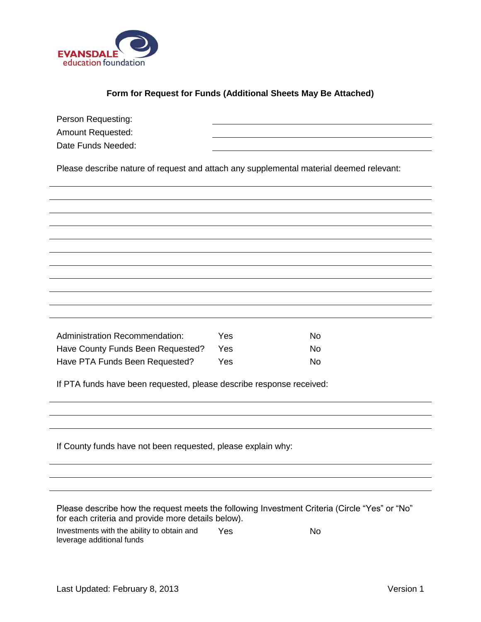

## **Form for Request for Funds (Additional Sheets May Be Attached)**

| Person Requesting:                                                                                                                                  |     |           |  |  |  |
|-----------------------------------------------------------------------------------------------------------------------------------------------------|-----|-----------|--|--|--|
| Amount Requested:                                                                                                                                   |     |           |  |  |  |
| Date Funds Needed:                                                                                                                                  |     |           |  |  |  |
| Please describe nature of request and attach any supplemental material deemed relevant:                                                             |     |           |  |  |  |
|                                                                                                                                                     |     |           |  |  |  |
|                                                                                                                                                     |     |           |  |  |  |
|                                                                                                                                                     |     |           |  |  |  |
|                                                                                                                                                     |     |           |  |  |  |
|                                                                                                                                                     |     |           |  |  |  |
|                                                                                                                                                     |     |           |  |  |  |
|                                                                                                                                                     |     |           |  |  |  |
|                                                                                                                                                     |     |           |  |  |  |
|                                                                                                                                                     |     |           |  |  |  |
|                                                                                                                                                     |     |           |  |  |  |
| <b>Administration Recommendation:</b>                                                                                                               | Yes | No.       |  |  |  |
| Have County Funds Been Requested?                                                                                                                   | Yes | <b>No</b> |  |  |  |
| Have PTA Funds Been Requested?                                                                                                                      | Yes | <b>No</b> |  |  |  |
|                                                                                                                                                     |     |           |  |  |  |
| If PTA funds have been requested, please describe response received:                                                                                |     |           |  |  |  |
|                                                                                                                                                     |     |           |  |  |  |
|                                                                                                                                                     |     |           |  |  |  |
|                                                                                                                                                     |     |           |  |  |  |
| If County funds have not been requested, please explain why:                                                                                        |     |           |  |  |  |
|                                                                                                                                                     |     |           |  |  |  |
|                                                                                                                                                     |     |           |  |  |  |
| Please describe how the request meets the following Investment Criteria (Circle "Yes" or "No"<br>for each criteria and provide more details below). |     |           |  |  |  |
| Investments with the ability to obtain and<br>leverage additional funds                                                                             | Yes | <b>No</b> |  |  |  |
|                                                                                                                                                     |     |           |  |  |  |